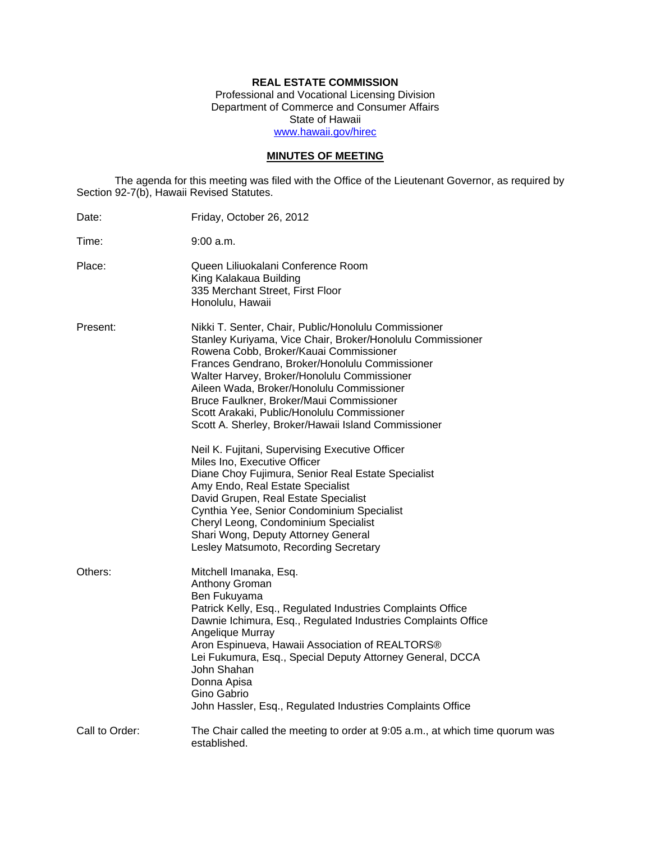# **REAL ESTATE COMMISSION**

Professional and Vocational Licensing Division Department of Commerce and Consumer Affairs State of Hawaii www.hawaii.gov/hirec

# **MINUTES OF MEETING**

The agenda for this meeting was filed with the Office of the Lieutenant Governor, as required by Section 92-7(b), Hawaii Revised Statutes.

| Date:          | Friday, October 26, 2012                                                                                                                                                                                                                                                                                                                                                                                                                                                                                                                                                                                                                                                                                                                                                                                                                                |
|----------------|---------------------------------------------------------------------------------------------------------------------------------------------------------------------------------------------------------------------------------------------------------------------------------------------------------------------------------------------------------------------------------------------------------------------------------------------------------------------------------------------------------------------------------------------------------------------------------------------------------------------------------------------------------------------------------------------------------------------------------------------------------------------------------------------------------------------------------------------------------|
| Time:          | 9:00 a.m.                                                                                                                                                                                                                                                                                                                                                                                                                                                                                                                                                                                                                                                                                                                                                                                                                                               |
| Place:         | Queen Liliuokalani Conference Room<br>King Kalakaua Building<br>335 Merchant Street, First Floor<br>Honolulu, Hawaii                                                                                                                                                                                                                                                                                                                                                                                                                                                                                                                                                                                                                                                                                                                                    |
| Present:       | Nikki T. Senter, Chair, Public/Honolulu Commissioner<br>Stanley Kuriyama, Vice Chair, Broker/Honolulu Commissioner<br>Rowena Cobb, Broker/Kauai Commissioner<br>Frances Gendrano, Broker/Honolulu Commissioner<br>Walter Harvey, Broker/Honolulu Commissioner<br>Aileen Wada, Broker/Honolulu Commissioner<br>Bruce Faulkner, Broker/Maui Commissioner<br>Scott Arakaki, Public/Honolulu Commissioner<br>Scott A. Sherley, Broker/Hawaii Island Commissioner<br>Neil K. Fujitani, Supervising Executive Officer<br>Miles Ino, Executive Officer<br>Diane Choy Fujimura, Senior Real Estate Specialist<br>Amy Endo, Real Estate Specialist<br>David Grupen, Real Estate Specialist<br>Cynthia Yee, Senior Condominium Specialist<br>Cheryl Leong, Condominium Specialist<br>Shari Wong, Deputy Attorney General<br>Lesley Matsumoto, Recording Secretary |
| Others:        | Mitchell Imanaka, Esq.<br>Anthony Groman<br>Ben Fukuyama<br>Patrick Kelly, Esq., Regulated Industries Complaints Office<br>Dawnie Ichimura, Esq., Regulated Industries Complaints Office<br>Angelique Murray<br>Aron Espinueva, Hawaii Association of REALTORS®<br>Lei Fukumura, Esq., Special Deputy Attorney General, DCCA<br>John Shahan<br>Donna Apisa<br>Gino Gabrio<br>John Hassler, Esq., Regulated Industries Complaints Office                                                                                                                                                                                                                                                                                                                                                                                                                 |
| Call to Order: | The Chair called the meeting to order at 9:05 a.m., at which time quorum was<br>established.                                                                                                                                                                                                                                                                                                                                                                                                                                                                                                                                                                                                                                                                                                                                                            |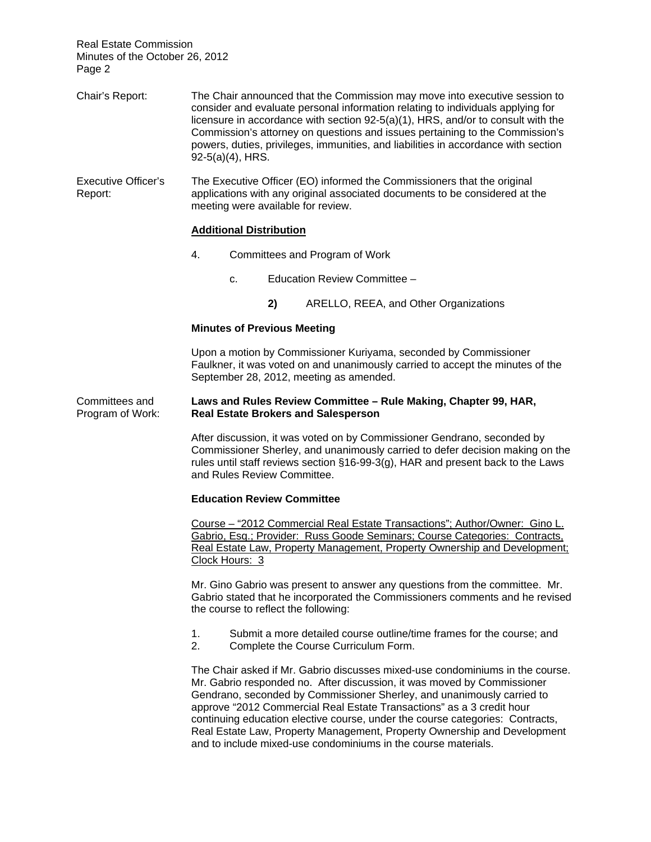| Chair's Report:                       | The Chair announced that the Commission may move into executive session to<br>consider and evaluate personal information relating to individuals applying for<br>licensure in accordance with section 92-5(a)(1), HRS, and/or to consult with the<br>Commission's attorney on questions and issues pertaining to the Commission's<br>powers, duties, privileges, immunities, and liabilities in accordance with section<br>$92-5(a)(4)$ , HRS.                                                                                             |  |  |  |
|---------------------------------------|--------------------------------------------------------------------------------------------------------------------------------------------------------------------------------------------------------------------------------------------------------------------------------------------------------------------------------------------------------------------------------------------------------------------------------------------------------------------------------------------------------------------------------------------|--|--|--|
| <b>Executive Officer's</b><br>Report: | The Executive Officer (EO) informed the Commissioners that the original<br>applications with any original associated documents to be considered at the<br>meeting were available for review.<br><b>Additional Distribution</b>                                                                                                                                                                                                                                                                                                             |  |  |  |
|                                       |                                                                                                                                                                                                                                                                                                                                                                                                                                                                                                                                            |  |  |  |
|                                       | 4.<br>Committees and Program of Work                                                                                                                                                                                                                                                                                                                                                                                                                                                                                                       |  |  |  |
|                                       | Education Review Committee -<br>c.                                                                                                                                                                                                                                                                                                                                                                                                                                                                                                         |  |  |  |
|                                       | 2)<br>ARELLO, REEA, and Other Organizations                                                                                                                                                                                                                                                                                                                                                                                                                                                                                                |  |  |  |
|                                       | <b>Minutes of Previous Meeting</b>                                                                                                                                                                                                                                                                                                                                                                                                                                                                                                         |  |  |  |
|                                       | Upon a motion by Commissioner Kuriyama, seconded by Commissioner<br>Faulkner, it was voted on and unanimously carried to accept the minutes of the<br>September 28, 2012, meeting as amended.                                                                                                                                                                                                                                                                                                                                              |  |  |  |
| Committees and<br>Program of Work:    | Laws and Rules Review Committee - Rule Making, Chapter 99, HAR,<br><b>Real Estate Brokers and Salesperson</b>                                                                                                                                                                                                                                                                                                                                                                                                                              |  |  |  |
|                                       | After discussion, it was voted on by Commissioner Gendrano, seconded by<br>Commissioner Sherley, and unanimously carried to defer decision making on the<br>rules until staff reviews section §16-99-3(g), HAR and present back to the Laws<br>and Rules Review Committee.                                                                                                                                                                                                                                                                 |  |  |  |
|                                       | <b>Education Review Committee</b>                                                                                                                                                                                                                                                                                                                                                                                                                                                                                                          |  |  |  |
|                                       | Course - "2012 Commercial Real Estate Transactions"; Author/Owner: Gino L.<br>Gabrio, Esg.; Provider: Russ Goode Seminars; Course Categories: Contracts,<br>Real Estate Law, Property Management, Property Ownership and Development;<br><u>Clock Hours: 3</u>                                                                                                                                                                                                                                                                             |  |  |  |
|                                       | Mr. Gino Gabrio was present to answer any questions from the committee. Mr.<br>Gabrio stated that he incorporated the Commissioners comments and he revised<br>the course to reflect the following:                                                                                                                                                                                                                                                                                                                                        |  |  |  |
|                                       | 1.<br>Submit a more detailed course outline/time frames for the course; and<br>2.<br>Complete the Course Curriculum Form.                                                                                                                                                                                                                                                                                                                                                                                                                  |  |  |  |
|                                       | The Chair asked if Mr. Gabrio discusses mixed-use condominiums in the course.<br>Mr. Gabrio responded no. After discussion, it was moved by Commissioner<br>Gendrano, seconded by Commissioner Sherley, and unanimously carried to<br>approve "2012 Commercial Real Estate Transactions" as a 3 credit hour<br>continuing education elective course, under the course categories: Contracts,<br>Real Estate Law, Property Management, Property Ownership and Development<br>and to include mixed-use condominiums in the course materials. |  |  |  |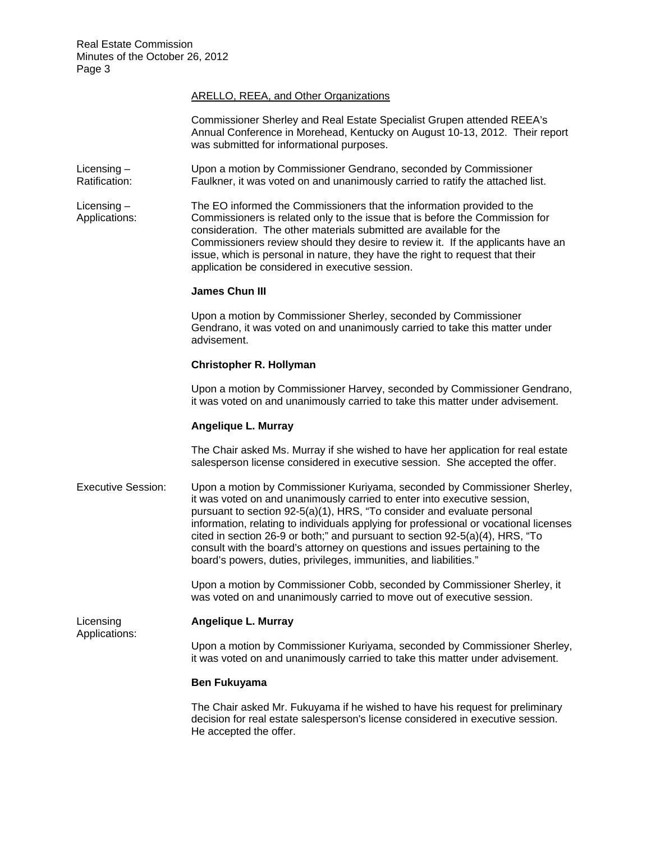# ARELLO, REEA, and Other Organizations

Commissioner Sherley and Real Estate Specialist Grupen attended REEA's Annual Conference in Morehead, Kentucky on August 10-13, 2012. Their report was submitted for informational purposes.

- Licensing Upon a motion by Commissioner Gendrano, seconded by Commissioner<br>Ratification: Faulkner, it was voted on and unanimously carried to ratify the attached li Faulkner, it was voted on and unanimously carried to ratify the attached list.
- Licensing The EO informed the Commissioners that the information provided to the Applications: Commissioners is related only to the issue that is before the Commission for consideration. The other materials submitted are available for the Commissioners review should they desire to review it. If the applicants have an issue, which is personal in nature, they have the right to request that their application be considered in executive session.

# **James Chun III**

Upon a motion by Commissioner Sherley, seconded by Commissioner Gendrano, it was voted on and unanimously carried to take this matter under advisement.

# **Christopher R. Hollyman**

Upon a motion by Commissioner Harvey, seconded by Commissioner Gendrano, it was voted on and unanimously carried to take this matter under advisement.

# **Angelique L. Murray**

The Chair asked Ms. Murray if she wished to have her application for real estate salesperson license considered in executive session. She accepted the offer.

Executive Session: Upon a motion by Commissioner Kuriyama, seconded by Commissioner Sherley, it was voted on and unanimously carried to enter into executive session, pursuant to section 92-5(a)(1), HRS, "To consider and evaluate personal information, relating to individuals applying for professional or vocational licenses cited in section 26-9 or both;" and pursuant to section 92-5(a)(4), HRS, "To consult with the board's attorney on questions and issues pertaining to the board's powers, duties, privileges, immunities, and liabilities."

> Upon a motion by Commissioner Cobb, seconded by Commissioner Sherley, it was voted on and unanimously carried to move out of executive session.

Applications:

#### Licensing **Angelique L. Murray**

Upon a motion by Commissioner Kuriyama, seconded by Commissioner Sherley, it was voted on and unanimously carried to take this matter under advisement.

# **Ben Fukuyama**

The Chair asked Mr. Fukuyama if he wished to have his request for preliminary decision for real estate salesperson's license considered in executive session. He accepted the offer.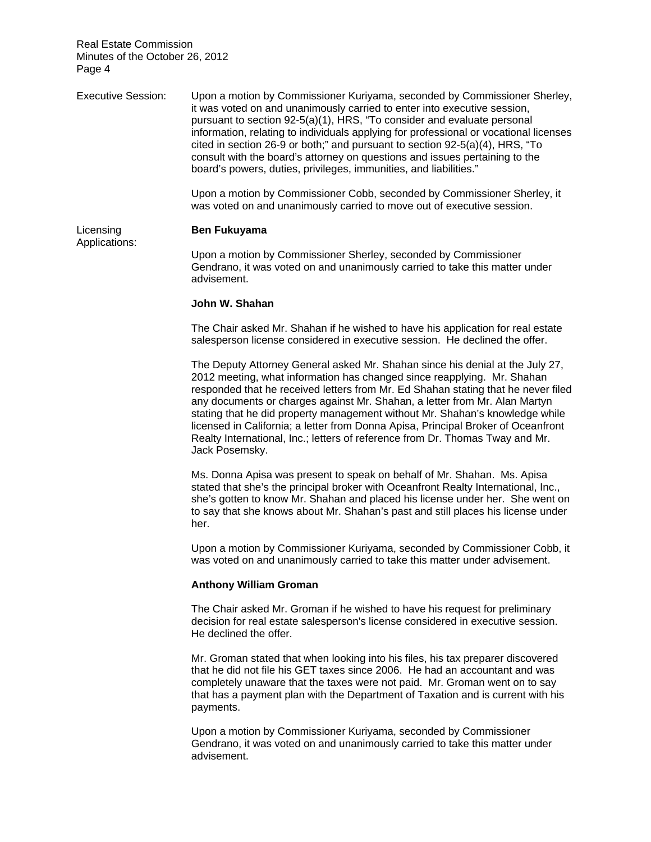| <b>Executive Session:</b>  | Upon a motion by Commissioner Kuriyama, seconded by Commissioner Sherley,<br>it was voted on and unanimously carried to enter into executive session,<br>pursuant to section 92-5(a)(1), HRS, "To consider and evaluate personal<br>information, relating to individuals applying for professional or vocational licenses<br>cited in section 26-9 or both;" and pursuant to section 92-5(a)(4), HRS, "To<br>consult with the board's attorney on questions and issues pertaining to the<br>board's powers, duties, privileges, immunities, and liabilities."                                       |
|----------------------------|-----------------------------------------------------------------------------------------------------------------------------------------------------------------------------------------------------------------------------------------------------------------------------------------------------------------------------------------------------------------------------------------------------------------------------------------------------------------------------------------------------------------------------------------------------------------------------------------------------|
|                            | Upon a motion by Commissioner Cobb, seconded by Commissioner Sherley, it<br>was voted on and unanimously carried to move out of executive session.                                                                                                                                                                                                                                                                                                                                                                                                                                                  |
| Licensing<br>Applications: | <b>Ben Fukuyama</b>                                                                                                                                                                                                                                                                                                                                                                                                                                                                                                                                                                                 |
|                            | Upon a motion by Commissioner Sherley, seconded by Commissioner<br>Gendrano, it was voted on and unanimously carried to take this matter under<br>advisement.                                                                                                                                                                                                                                                                                                                                                                                                                                       |
|                            | John W. Shahan                                                                                                                                                                                                                                                                                                                                                                                                                                                                                                                                                                                      |
|                            | The Chair asked Mr. Shahan if he wished to have his application for real estate<br>salesperson license considered in executive session. He declined the offer.                                                                                                                                                                                                                                                                                                                                                                                                                                      |
|                            | The Deputy Attorney General asked Mr. Shahan since his denial at the July 27,<br>2012 meeting, what information has changed since reapplying. Mr. Shahan<br>responded that he received letters from Mr. Ed Shahan stating that he never filed<br>any documents or charges against Mr. Shahan, a letter from Mr. Alan Martyn<br>stating that he did property management without Mr. Shahan's knowledge while<br>licensed in California; a letter from Donna Apisa, Principal Broker of Oceanfront<br>Realty International, Inc.; letters of reference from Dr. Thomas Tway and Mr.<br>Jack Posemsky. |
|                            | Ms. Donna Apisa was present to speak on behalf of Mr. Shahan. Ms. Apisa<br>stated that she's the principal broker with Oceanfront Realty International, Inc.,<br>she's gotten to know Mr. Shahan and placed his license under her. She went on<br>to say that she knows about Mr. Shahan's past and still places his license under<br>her.                                                                                                                                                                                                                                                          |
|                            | Upon a motion by Commissioner Kuriyama, seconded by Commissioner Cobb, it                                                                                                                                                                                                                                                                                                                                                                                                                                                                                                                           |

**Anthony William Groman** 

The Chair asked Mr. Groman if he wished to have his request for preliminary decision for real estate salesperson's license considered in executive session. He declined the offer.

was voted on and unanimously carried to take this matter under advisement.

Mr. Groman stated that when looking into his files, his tax preparer discovered that he did not file his GET taxes since 2006. He had an accountant and was completely unaware that the taxes were not paid. Mr. Groman went on to say that has a payment plan with the Department of Taxation and is current with his payments.

Upon a motion by Commissioner Kuriyama, seconded by Commissioner Gendrano, it was voted on and unanimously carried to take this matter under advisement.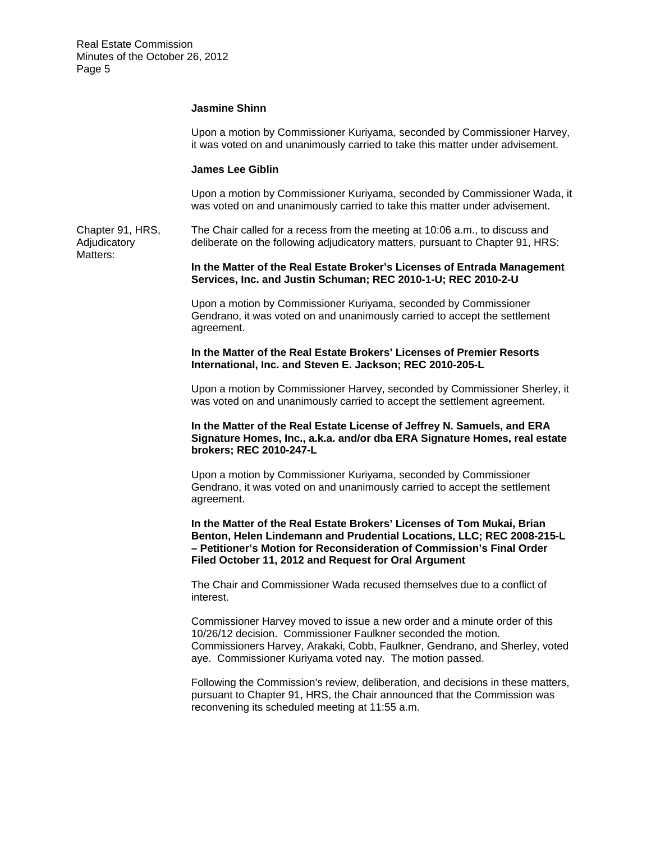#### **Jasmine Shinn**

Upon a motion by Commissioner Kuriyama, seconded by Commissioner Harvey, it was voted on and unanimously carried to take this matter under advisement.

#### **James Lee Giblin**

Upon a motion by Commissioner Kuriyama, seconded by Commissioner Wada, it was voted on and unanimously carried to take this matter under advisement.

Chapter 91, HRS, The Chair called for a recess from the meeting at 10:06 a.m., to discuss and Adjudicatory deliberate on the following adjudicatory matters, pursuant to Chapter 91, HRS: Matters:

**In the Matter of the Real Estate Broker's Licenses of Entrada Management Services, Inc. and Justin Schuman; REC 2010-1-U; REC 2010-2-U** 

Upon a motion by Commissioner Kuriyama, seconded by Commissioner Gendrano, it was voted on and unanimously carried to accept the settlement agreement.

**In the Matter of the Real Estate Brokers' Licenses of Premier Resorts International, Inc. and Steven E. Jackson; REC 2010-205-L** 

Upon a motion by Commissioner Harvey, seconded by Commissioner Sherley, it was voted on and unanimously carried to accept the settlement agreement.

#### **In the Matter of the Real Estate License of Jeffrey N. Samuels, and ERA Signature Homes, Inc., a.k.a. and/or dba ERA Signature Homes, real estate brokers; REC 2010-247-L**

Upon a motion by Commissioner Kuriyama, seconded by Commissioner Gendrano, it was voted on and unanimously carried to accept the settlement agreement.

**In the Matter of the Real Estate Brokers' Licenses of Tom Mukai, Brian Benton, Helen Lindemann and Prudential Locations, LLC; REC 2008-215-L – Petitioner's Motion for Reconsideration of Commission's Final Order Filed October 11, 2012 and Request for Oral Argument** 

The Chair and Commissioner Wada recused themselves due to a conflict of interest.

Commissioner Harvey moved to issue a new order and a minute order of this 10/26/12 decision. Commissioner Faulkner seconded the motion. Commissioners Harvey, Arakaki, Cobb, Faulkner, Gendrano, and Sherley, voted aye. Commissioner Kuriyama voted nay. The motion passed.

Following the Commission's review, deliberation, and decisions in these matters, pursuant to Chapter 91, HRS, the Chair announced that the Commission was reconvening its scheduled meeting at 11:55 a.m.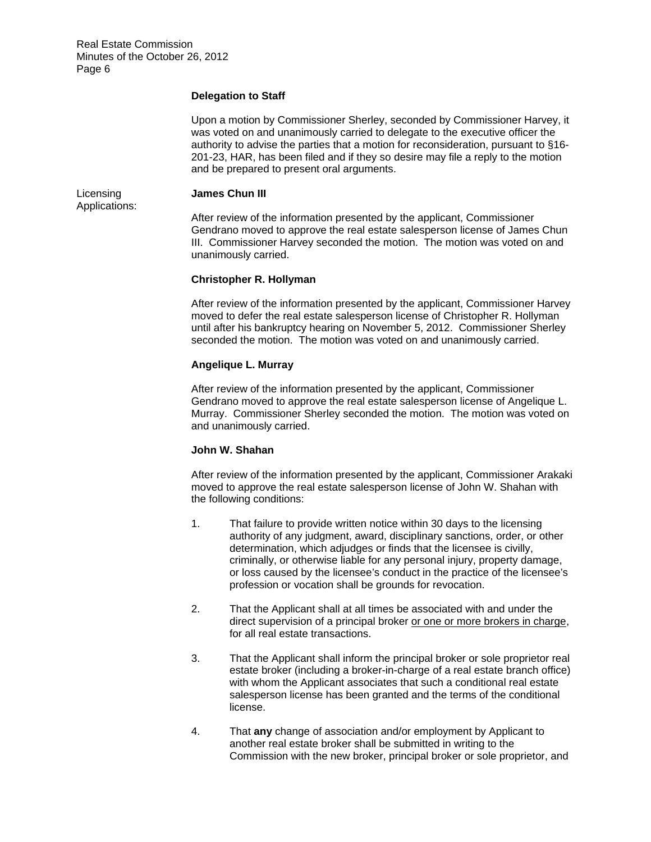# **Delegation to Staff**

Upon a motion by Commissioner Sherley, seconded by Commissioner Harvey, it was voted on and unanimously carried to delegate to the executive officer the authority to advise the parties that a motion for reconsideration, pursuant to §16 201-23, HAR, has been filed and if they so desire may file a reply to the motion and be prepared to present oral arguments.

Licensing **James Chun III** 

Applications:

After review of the information presented by the applicant, Commissioner Gendrano moved to approve the real estate salesperson license of James Chun III. Commissioner Harvey seconded the motion. The motion was voted on and unanimously carried.

# **Christopher R. Hollyman**

After review of the information presented by the applicant, Commissioner Harvey moved to defer the real estate salesperson license of Christopher R. Hollyman until after his bankruptcy hearing on November 5, 2012. Commissioner Sherley seconded the motion. The motion was voted on and unanimously carried.

# **Angelique L. Murray**

After review of the information presented by the applicant, Commissioner Gendrano moved to approve the real estate salesperson license of Angelique L. Murray. Commissioner Sherley seconded the motion. The motion was voted on and unanimously carried.

# **John W. Shahan**

After review of the information presented by the applicant, Commissioner Arakaki moved to approve the real estate salesperson license of John W. Shahan with the following conditions:

- 1. That failure to provide written notice within 30 days to the licensing authority of any judgment, award, disciplinary sanctions, order, or other determination, which adjudges or finds that the licensee is civilly, criminally, or otherwise liable for any personal injury, property damage, or loss caused by the licensee's conduct in the practice of the licensee's profession or vocation shall be grounds for revocation.
- 2. That the Applicant shall at all times be associated with and under the direct supervision of a principal broker or one or more brokers in charge, for all real estate transactions.
- 3. That the Applicant shall inform the principal broker or sole proprietor real estate broker (including a broker-in-charge of a real estate branch office) with whom the Applicant associates that such a conditional real estate salesperson license has been granted and the terms of the conditional license.
- 4. That **any** change of association and/or employment by Applicant to another real estate broker shall be submitted in writing to the Commission with the new broker, principal broker or sole proprietor, and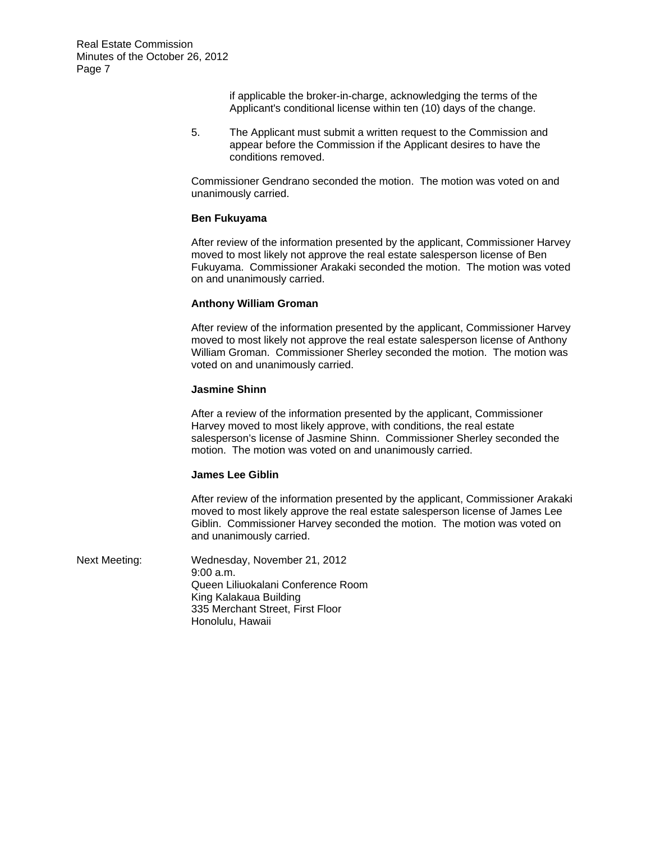> if applicable the broker-in-charge, acknowledging the terms of the Applicant's conditional license within ten (10) days of the change.

5. The Applicant must submit a written request to the Commission and appear before the Commission if the Applicant desires to have the conditions removed.

Commissioner Gendrano seconded the motion. The motion was voted on and unanimously carried.

#### **Ben Fukuyama**

After review of the information presented by the applicant, Commissioner Harvey moved to most likely not approve the real estate salesperson license of Ben Fukuyama. Commissioner Arakaki seconded the motion. The motion was voted on and unanimously carried.

#### **Anthony William Groman**

After review of the information presented by the applicant, Commissioner Harvey moved to most likely not approve the real estate salesperson license of Anthony William Groman. Commissioner Sherley seconded the motion. The motion was voted on and unanimously carried.

#### **Jasmine Shinn**

After a review of the information presented by the applicant, Commissioner Harvey moved to most likely approve, with conditions, the real estate salesperson's license of Jasmine Shinn. Commissioner Sherley seconded the motion. The motion was voted on and unanimously carried.

#### **James Lee Giblin**

After review of the information presented by the applicant, Commissioner Arakaki moved to most likely approve the real estate salesperson license of James Lee Giblin. Commissioner Harvey seconded the motion. The motion was voted on and unanimously carried.

Next Meeting: Wednesday, November 21, 2012 9:00 a.m. Queen Liliuokalani Conference Room King Kalakaua Building 335 Merchant Street, First Floor Honolulu, Hawaii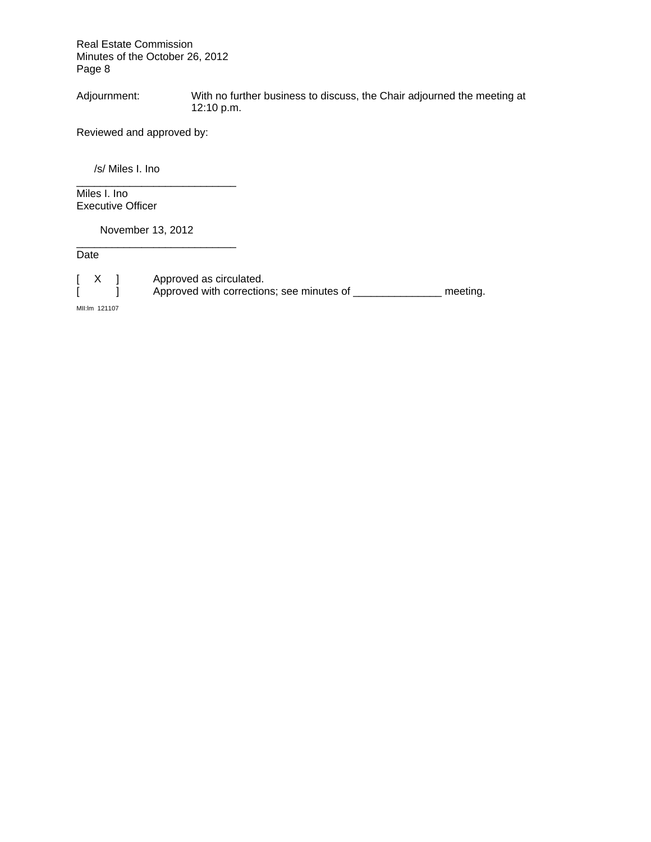Adjournment: With no further business to discuss, the Chair adjourned the meeting at 12:10 p.m.

Reviewed and approved by:

/s/ Miles I. Ino

Miles I. Ino Executive Officer

November 13, 2012

\_\_\_\_\_\_\_\_\_\_\_\_\_\_\_\_\_\_\_\_\_\_\_\_\_\_\_

\_\_\_\_\_\_\_\_\_\_\_\_\_\_\_\_\_\_\_\_\_\_\_\_\_\_\_

**Date** 

[ X ] Approved as circulated.<br>[ ] Approved with correction Approved with corrections; see minutes of \_\_\_\_\_\_\_\_\_\_\_\_\_\_\_\_\_ meeting.

MII:lm 121107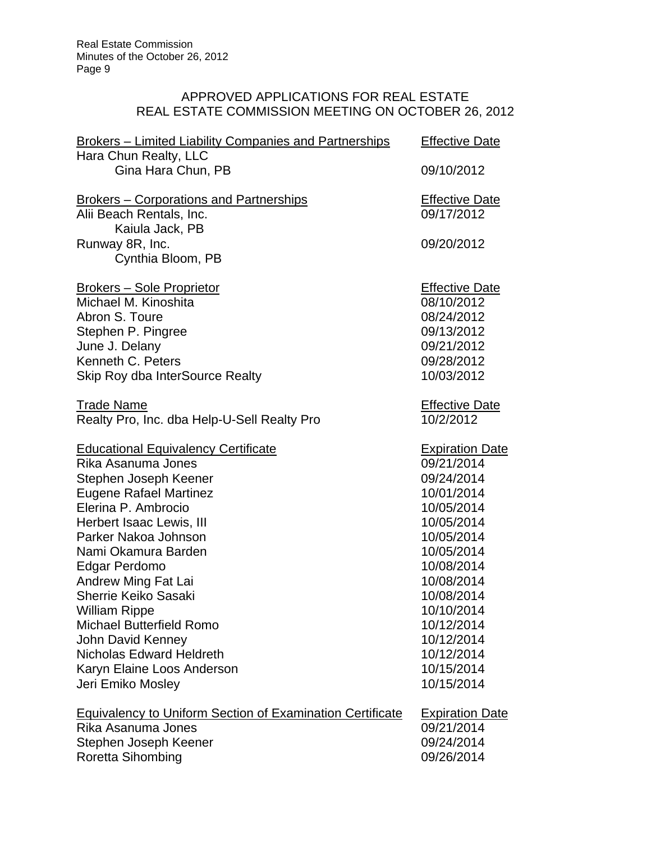# APPROVED APPLICATIONS FOR REAL ESTATE REAL ESTATE COMMISSION MEETING ON OCTOBER 26, 2012

| <b>Brokers – Limited Liability Companies and Partnerships</b><br>Hara Chun Realty, LLC | <b>Effective Date</b>  |
|----------------------------------------------------------------------------------------|------------------------|
| Gina Hara Chun, PB                                                                     | 09/10/2012             |
| <b>Brokers – Corporations and Partnerships</b>                                         | <b>Effective Date</b>  |
| Alii Beach Rentals, Inc.                                                               | 09/17/2012             |
| Kaiula Jack, PB<br>Runway 8R, Inc.                                                     | 09/20/2012             |
| Cynthia Bloom, PB                                                                      |                        |
| <u> Brokers – Sole Proprietor</u>                                                      | <b>Effective Date</b>  |
| Michael M. Kinoshita                                                                   | 08/10/2012             |
| Abron S. Toure                                                                         | 08/24/2012             |
| Stephen P. Pingree                                                                     | 09/13/2012             |
| June J. Delany                                                                         | 09/21/2012             |
| Kenneth C. Peters                                                                      | 09/28/2012             |
| Skip Roy dba InterSource Realty                                                        | 10/03/2012             |
| <b>Trade Name</b>                                                                      | <b>Effective Date</b>  |
| Realty Pro, Inc. dba Help-U-Sell Realty Pro                                            | 10/2/2012              |
| <b>Educational Equivalency Certificate</b>                                             | <b>Expiration Date</b> |
| Rika Asanuma Jones                                                                     | 09/21/2014             |
| Stephen Joseph Keener                                                                  | 09/24/2014             |
| <b>Eugene Rafael Martinez</b>                                                          | 10/01/2014             |
| Elerina P. Ambrocio                                                                    | 10/05/2014             |
| Herbert Isaac Lewis, III                                                               | 10/05/2014             |
| Parker Nakoa Johnson                                                                   | 10/05/2014             |
| Nami Okamura Barden                                                                    | 10/05/2014             |
| Edgar Perdomo                                                                          | 10/08/2014             |
| <b>Andrew Ming Fat Lai</b>                                                             | 10/08/2014             |
| Sherrie Keiko Sasaki                                                                   | 10/08/2014             |
| <b>William Rippe</b>                                                                   | 10/10/2014             |
| <b>Michael Butterfield Romo</b>                                                        | 10/12/2014             |
| John David Kenney                                                                      | 10/12/2014             |
| <b>Nicholas Edward Heldreth</b>                                                        | 10/12/2014             |
| Karyn Elaine Loos Anderson                                                             | 10/15/2014             |
| Jeri Emiko Mosley                                                                      | 10/15/2014             |
| <b>Equivalency to Uniform Section of Examination Certificate</b>                       | <b>Expiration Date</b> |
| Rika Asanuma Jones                                                                     | 09/21/2014             |
| Stephen Joseph Keener                                                                  | 09/24/2014             |
| Roretta Sihombing                                                                      | 09/26/2014             |